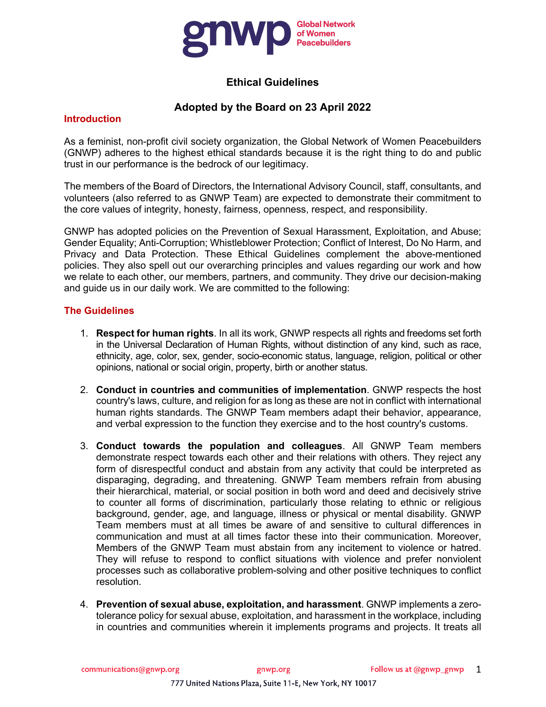

# **Ethical Guidelines**

## **Adopted by the Board on 23 April 2022**

#### **Introduction**

As a feminist, non-profit civil society organization, the Global Network of Women Peacebuilders (GNWP) adheres to the highest ethical standards because it is the right thing to do and public trust in our performance is the bedrock of our legitimacy.

The members of the Board of Directors, the International Advisory Council, staff, consultants, and volunteers (also referred to as GNWP Team) are expected to demonstrate their commitment to the core values of integrity, honesty, fairness, openness, respect, and responsibility.

GNWP has adopted policies on the Prevention of Sexual Harassment, Exploitation, and Abuse; Gender Equality; Anti-Corruption; Whistleblower Protection; Conflict of Interest, Do No Harm, and Privacy and Data Protection. These Ethical Guidelines complement the above-mentioned policies. They also spell out our overarching principles and values regarding our work and how we relate to each other, our members, partners, and community. They drive our decision-making and guide us in our daily work. We are committed to the following:

### **The Guidelines**

- 1. **Respect for human rights**. In all its work, GNWP respects all rights and freedoms set forth in the Universal Declaration of Human Rights, without distinction of any kind, such as race, ethnicity, age, color, sex, gender, socio-economic status, language, religion, political or other opinions, national or social origin, property, birth or another status.
- 2. **Conduct in countries and communities of implementation**. GNWP respects the host country's laws, culture, and religion for as long as these are not in conflict with international human rights standards. The GNWP Team members adapt their behavior, appearance, and verbal expression to the function they exercise and to the host country's customs.
- 3. **Conduct towards the population and colleagues**. All GNWP Team members demonstrate respect towards each other and their relations with others. They reject any form of disrespectful conduct and abstain from any activity that could be interpreted as disparaging, degrading, and threatening. GNWP Team members refrain from abusing their hierarchical, material, or social position in both word and deed and decisively strive to counter all forms of discrimination, particularly those relating to ethnic or religious background, gender, age, and language, illness or physical or mental disability. GNWP Team members must at all times be aware of and sensitive to cultural differences in communication and must at all times factor these into their communication. Moreover, Members of the GNWP Team must abstain from any incitement to violence or hatred. They will refuse to respond to conflict situations with violence and prefer nonviolent processes such as collaborative problem-solving and other positive techniques to conflict resolution.
- 4. **Prevention of sexual abuse, exploitation, and harassment**. GNWP implements a zerotolerance policy for sexual abuse, exploitation, and harassment in the workplace, including in countries and communities wherein it implements programs and projects. It treats all